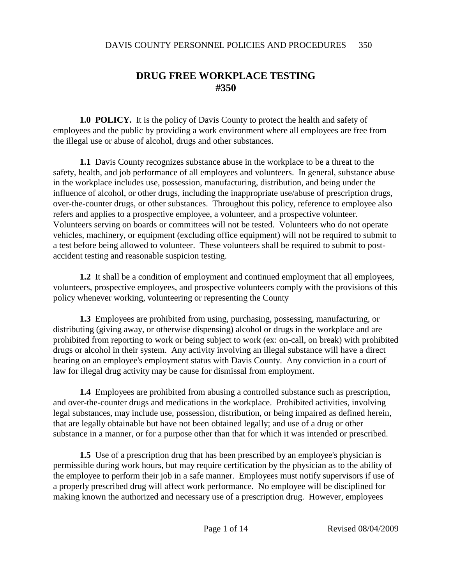# **DRUG FREE WORKPLACE TESTING #350**

**1.0 POLICY.** It is the policy of Davis County to protect the health and safety of employees and the public by providing a work environment where all employees are free from the illegal use or abuse of alcohol, drugs and other substances.

**1.1** Davis County recognizes substance abuse in the workplace to be a threat to the safety, health, and job performance of all employees and volunteers. In general, substance abuse in the workplace includes use, possession, manufacturing, distribution, and being under the influence of alcohol, or other drugs, including the inappropriate use/abuse of prescription drugs, over-the-counter drugs, or other substances. Throughout this policy, reference to employee also refers and applies to a prospective employee, a volunteer, and a prospective volunteer. Volunteers serving on boards or committees will not be tested. Volunteers who do not operate vehicles, machinery, or equipment (excluding office equipment) will not be required to submit to a test before being allowed to volunteer. These volunteers shall be required to submit to postaccident testing and reasonable suspicion testing.

**1.2** It shall be a condition of employment and continued employment that all employees, volunteers, prospective employees, and prospective volunteers comply with the provisions of this policy whenever working, volunteering or representing the County

**1.3** Employees are prohibited from using, purchasing, possessing, manufacturing, or distributing (giving away, or otherwise dispensing) alcohol or drugs in the workplace and are prohibited from reporting to work or being subject to work (ex: on-call, on break) with prohibited drugs or alcohol in their system. Any activity involving an illegal substance will have a direct bearing on an employee's employment status with Davis County. Any conviction in a court of law for illegal drug activity may be cause for dismissal from employment.

**1.4** Employees are prohibited from abusing a controlled substance such as prescription, and over-the-counter drugs and medications in the workplace. Prohibited activities, involving legal substances, may include use, possession, distribution, or being impaired as defined herein, that are legally obtainable but have not been obtained legally; and use of a drug or other substance in a manner, or for a purpose other than that for which it was intended or prescribed.

**1.5** Use of a prescription drug that has been prescribed by an employee's physician is permissible during work hours, but may require certification by the physician as to the ability of the employee to perform their job in a safe manner. Employees must notify supervisors if use of a properly prescribed drug will affect work performance. No employee will be disciplined for making known the authorized and necessary use of a prescription drug. However, employees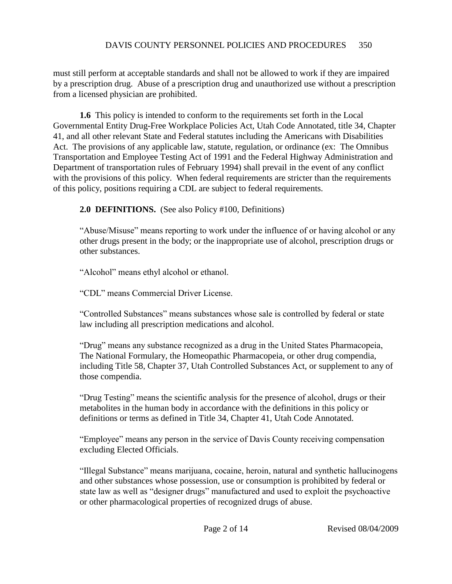must still perform at acceptable standards and shall not be allowed to work if they are impaired by a prescription drug. Abuse of a prescription drug and unauthorized use without a prescription from a licensed physician are prohibited.

**1.6** This policy is intended to conform to the requirements set forth in the Local Governmental Entity Drug-Free Workplace Policies Act, Utah Code Annotated, title 34, Chapter 41, and all other relevant State and Federal statutes including the Americans with Disabilities Act. The provisions of any applicable law, statute, regulation, or ordinance (ex: The Omnibus Transportation and Employee Testing Act of 1991 and the Federal Highway Administration and Department of transportation rules of February 1994) shall prevail in the event of any conflict with the provisions of this policy. When federal requirements are stricter than the requirements of this policy, positions requiring a CDL are subject to federal requirements.

**2.0 DEFINITIONS.** (See also Policy #100, Definitions)

"Abuse/Misuse" means reporting to work under the influence of or having alcohol or any other drugs present in the body; or the inappropriate use of alcohol, prescription drugs or other substances.

"Alcohol" means ethyl alcohol or ethanol.

"CDL" means Commercial Driver License.

"Controlled Substances" means substances whose sale is controlled by federal or state law including all prescription medications and alcohol.

"Drug" means any substance recognized as a drug in the United States Pharmacopeia, The National Formulary, the Homeopathic Pharmacopeia, or other drug compendia, including Title 58, Chapter 37, Utah Controlled Substances Act, or supplement to any of those compendia.

"Drug Testing" means the scientific analysis for the presence of alcohol, drugs or their metabolites in the human body in accordance with the definitions in this policy or definitions or terms as defined in Title 34, Chapter 41, Utah Code Annotated.

"Employee" means any person in the service of Davis County receiving compensation excluding Elected Officials.

"Illegal Substance" means marijuana, cocaine, heroin, natural and synthetic hallucinogens and other substances whose possession, use or consumption is prohibited by federal or state law as well as "designer drugs" manufactured and used to exploit the psychoactive or other pharmacological properties of recognized drugs of abuse.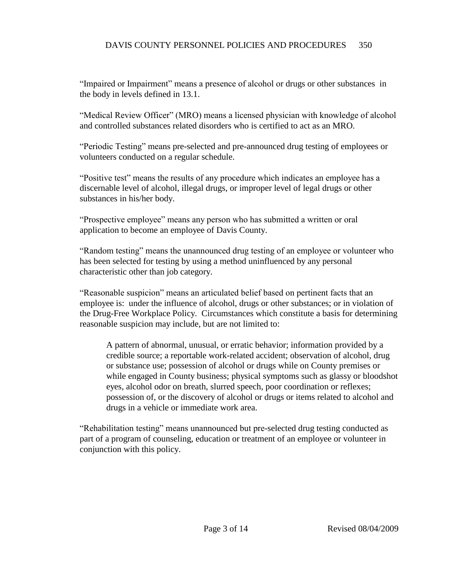"Impaired or Impairment" means a presence of alcohol or drugs or other substances in the body in levels defined in 13.1.

"Medical Review Officer" (MRO) means a licensed physician with knowledge of alcohol and controlled substances related disorders who is certified to act as an MRO.

"Periodic Testing" means pre-selected and pre-announced drug testing of employees or volunteers conducted on a regular schedule.

"Positive test" means the results of any procedure which indicates an employee has a discernable level of alcohol, illegal drugs, or improper level of legal drugs or other substances in his/her body.

"Prospective employee" means any person who has submitted a written or oral application to become an employee of Davis County.

"Random testing" means the unannounced drug testing of an employee or volunteer who has been selected for testing by using a method uninfluenced by any personal characteristic other than job category.

"Reasonable suspicion" means an articulated belief based on pertinent facts that an employee is: under the influence of alcohol, drugs or other substances; or in violation of the Drug-Free Workplace Policy. Circumstances which constitute a basis for determining reasonable suspicion may include, but are not limited to:

A pattern of abnormal, unusual, or erratic behavior; information provided by a credible source; a reportable work-related accident; observation of alcohol, drug or substance use; possession of alcohol or drugs while on County premises or while engaged in County business; physical symptoms such as glassy or bloodshot eyes, alcohol odor on breath, slurred speech, poor coordination or reflexes; possession of, or the discovery of alcohol or drugs or items related to alcohol and drugs in a vehicle or immediate work area.

"Rehabilitation testing" means unannounced but pre-selected drug testing conducted as part of a program of counseling, education or treatment of an employee or volunteer in conjunction with this policy.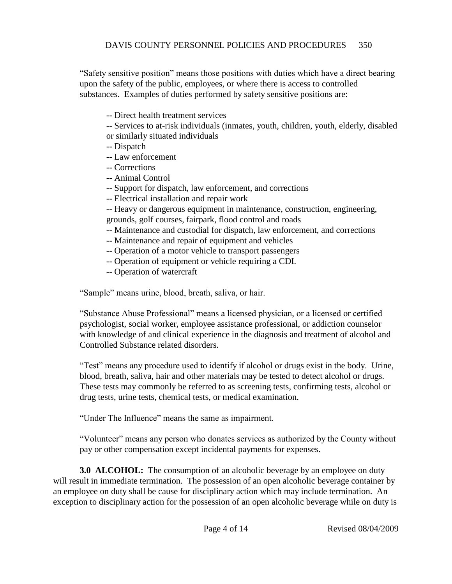"Safety sensitive position" means those positions with duties which have a direct bearing upon the safety of the public, employees, or where there is access to controlled substances. Examples of duties performed by safety sensitive positions are:

-- Direct health treatment services

-- Services to at-risk individuals (inmates, youth, children, youth, elderly, disabled or similarly situated individuals

- -- Dispatch
- -- Law enforcement
- -- Corrections
- -- Animal Control
- -- Support for dispatch, law enforcement, and corrections
- -- Electrical installation and repair work

-- Heavy or dangerous equipment in maintenance, construction, engineering, grounds, golf courses, fairpark, flood control and roads

- -- Maintenance and custodial for dispatch, law enforcement, and corrections
- -- Maintenance and repair of equipment and vehicles
- -- Operation of a motor vehicle to transport passengers
- -- Operation of equipment or vehicle requiring a CDL
- -- Operation of watercraft

"Sample" means urine, blood, breath, saliva, or hair.

"Substance Abuse Professional" means a licensed physician, or a licensed or certified psychologist, social worker, employee assistance professional, or addiction counselor with knowledge of and clinical experience in the diagnosis and treatment of alcohol and Controlled Substance related disorders.

"Test" means any procedure used to identify if alcohol or drugs exist in the body. Urine, blood, breath, saliva, hair and other materials may be tested to detect alcohol or drugs. These tests may commonly be referred to as screening tests, confirming tests, alcohol or drug tests, urine tests, chemical tests, or medical examination.

"Under The Influence" means the same as impairment.

"Volunteer" means any person who donates services as authorized by the County without pay or other compensation except incidental payments for expenses.

**3.0 ALCOHOL:** The consumption of an alcoholic beverage by an employee on duty will result in immediate termination. The possession of an open alcoholic beverage container by an employee on duty shall be cause for disciplinary action which may include termination. An exception to disciplinary action for the possession of an open alcoholic beverage while on duty is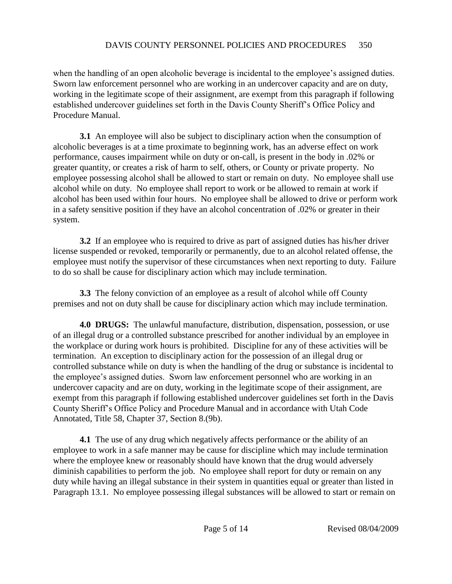when the handling of an open alcoholic beverage is incidental to the employee's assigned duties. Sworn law enforcement personnel who are working in an undercover capacity and are on duty, working in the legitimate scope of their assignment, are exempt from this paragraph if following established undercover guidelines set forth in the Davis County Sheriff's Office Policy and Procedure Manual.

**3.1** An employee will also be subject to disciplinary action when the consumption of alcoholic beverages is at a time proximate to beginning work, has an adverse effect on work performance, causes impairment while on duty or on-call, is present in the body in .02% or greater quantity, or creates a risk of harm to self, others, or County or private property. No employee possessing alcohol shall be allowed to start or remain on duty. No employee shall use alcohol while on duty. No employee shall report to work or be allowed to remain at work if alcohol has been used within four hours. No employee shall be allowed to drive or perform work in a safety sensitive position if they have an alcohol concentration of .02% or greater in their system.

**3.2** If an employee who is required to drive as part of assigned duties has his/her driver license suspended or revoked, temporarily or permanently, due to an alcohol related offense, the employee must notify the supervisor of these circumstances when next reporting to duty. Failure to do so shall be cause for disciplinary action which may include termination.

**3.3** The felony conviction of an employee as a result of alcohol while off County premises and not on duty shall be cause for disciplinary action which may include termination.

**4.0 DRUGS:** The unlawful manufacture, distribution, dispensation, possession, or use of an illegal drug or a controlled substance prescribed for another individual by an employee in the workplace or during work hours is prohibited. Discipline for any of these activities will be termination. An exception to disciplinary action for the possession of an illegal drug or controlled substance while on duty is when the handling of the drug or substance is incidental to the employee's assigned duties. Sworn law enforcement personnel who are working in an undercover capacity and are on duty, working in the legitimate scope of their assignment, are exempt from this paragraph if following established undercover guidelines set forth in the Davis County Sheriff's Office Policy and Procedure Manual and in accordance with Utah Code Annotated, Title 58, Chapter 37, Section 8.(9b).

**4.1** The use of any drug which negatively affects performance or the ability of an employee to work in a safe manner may be cause for discipline which may include termination where the employee knew or reasonably should have known that the drug would adversely diminish capabilities to perform the job. No employee shall report for duty or remain on any duty while having an illegal substance in their system in quantities equal or greater than listed in Paragraph 13.1. No employee possessing illegal substances will be allowed to start or remain on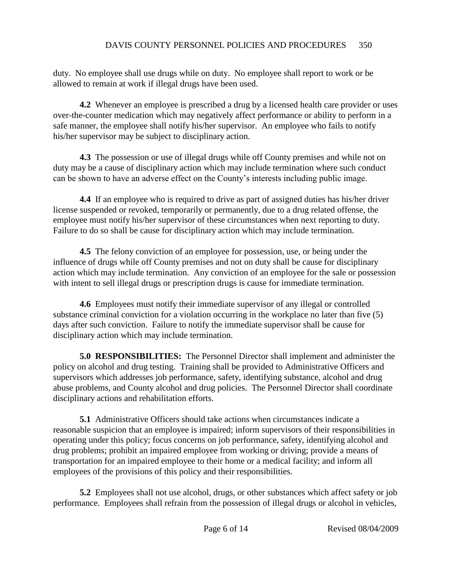duty. No employee shall use drugs while on duty. No employee shall report to work or be allowed to remain at work if illegal drugs have been used.

**4.2** Whenever an employee is prescribed a drug by a licensed health care provider or uses over-the-counter medication which may negatively affect performance or ability to perform in a safe manner, the employee shall notify his/her supervisor. An employee who fails to notify his/her supervisor may be subject to disciplinary action.

**4.3** The possession or use of illegal drugs while off County premises and while not on duty may be a cause of disciplinary action which may include termination where such conduct can be shown to have an adverse effect on the County's interests including public image.

**4.4** If an employee who is required to drive as part of assigned duties has his/her driver license suspended or revoked, temporarily or permanently, due to a drug related offense, the employee must notify his/her supervisor of these circumstances when next reporting to duty. Failure to do so shall be cause for disciplinary action which may include termination.

**4.5** The felony conviction of an employee for possession, use, or being under the influence of drugs while off County premises and not on duty shall be cause for disciplinary action which may include termination. Any conviction of an employee for the sale or possession with intent to sell illegal drugs or prescription drugs is cause for immediate termination.

**4.6** Employees must notify their immediate supervisor of any illegal or controlled substance criminal conviction for a violation occurring in the workplace no later than five (5) days after such conviction. Failure to notify the immediate supervisor shall be cause for disciplinary action which may include termination.

**5.0 RESPONSIBILITIES:** The Personnel Director shall implement and administer the policy on alcohol and drug testing. Training shall be provided to Administrative Officers and supervisors which addresses job performance, safety, identifying substance, alcohol and drug abuse problems, and County alcohol and drug policies. The Personnel Director shall coordinate disciplinary actions and rehabilitation efforts.

**5.1** Administrative Officers should take actions when circumstances indicate a reasonable suspicion that an employee is impaired; inform supervisors of their responsibilities in operating under this policy; focus concerns on job performance, safety, identifying alcohol and drug problems; prohibit an impaired employee from working or driving; provide a means of transportation for an impaired employee to their home or a medical facility; and inform all employees of the provisions of this policy and their responsibilities.

**5.2** Employees shall not use alcohol, drugs, or other substances which affect safety or job performance. Employees shall refrain from the possession of illegal drugs or alcohol in vehicles,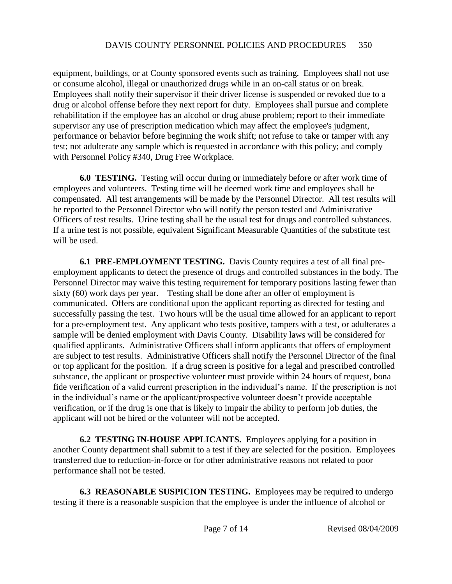equipment, buildings, or at County sponsored events such as training. Employees shall not use or consume alcohol, illegal or unauthorized drugs while in an on-call status or on break. Employees shall notify their supervisor if their driver license is suspended or revoked due to a drug or alcohol offense before they next report for duty. Employees shall pursue and complete rehabilitation if the employee has an alcohol or drug abuse problem; report to their immediate supervisor any use of prescription medication which may affect the employee's judgment, performance or behavior before beginning the work shift; not refuse to take or tamper with any test; not adulterate any sample which is requested in accordance with this policy; and comply with Personnel Policy #340, Drug Free Workplace.

**6.0 TESTING.** Testing will occur during or immediately before or after work time of employees and volunteers. Testing time will be deemed work time and employees shall be compensated. All test arrangements will be made by the Personnel Director. All test results will be reported to the Personnel Director who will notify the person tested and Administrative Officers of test results. Urine testing shall be the usual test for drugs and controlled substances. If a urine test is not possible, equivalent Significant Measurable Quantities of the substitute test will be used.

**6.1 PRE-EMPLOYMENT TESTING.** Davis County requires a test of all final preemployment applicants to detect the presence of drugs and controlled substances in the body. The Personnel Director may waive this testing requirement for temporary positions lasting fewer than sixty (60) work days per year. Testing shall be done after an offer of employment is communicated. Offers are conditional upon the applicant reporting as directed for testing and successfully passing the test. Two hours will be the usual time allowed for an applicant to report for a pre-employment test. Any applicant who tests positive, tampers with a test, or adulterates a sample will be denied employment with Davis County. Disability laws will be considered for qualified applicants. Administrative Officers shall inform applicants that offers of employment are subject to test results. Administrative Officers shall notify the Personnel Director of the final or top applicant for the position. If a drug screen is positive for a legal and prescribed controlled substance, the applicant or prospective volunteer must provide within 24 hours of request, bona fide verification of a valid current prescription in the individual's name. If the prescription is not in the individual's name or the applicant/prospective volunteer doesn't provide acceptable verification, or if the drug is one that is likely to impair the ability to perform job duties, the applicant will not be hired or the volunteer will not be accepted.

**6.2 TESTING IN-HOUSE APPLICANTS.** Employees applying for a position in another County department shall submit to a test if they are selected for the position. Employees transferred due to reduction-in-force or for other administrative reasons not related to poor performance shall not be tested.

**6.3 REASONABLE SUSPICION TESTING.** Employees may be required to undergo testing if there is a reasonable suspicion that the employee is under the influence of alcohol or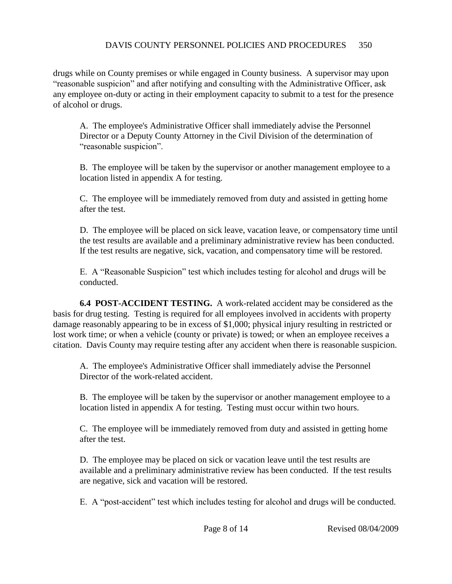drugs while on County premises or while engaged in County business. A supervisor may upon "reasonable suspicion" and after notifying and consulting with the Administrative Officer, ask any employee on-duty or acting in their employment capacity to submit to a test for the presence of alcohol or drugs.

A. The employee's Administrative Officer shall immediately advise the Personnel Director or a Deputy County Attorney in the Civil Division of the determination of "reasonable suspicion".

B. The employee will be taken by the supervisor or another management employee to a location listed in appendix A for testing.

C. The employee will be immediately removed from duty and assisted in getting home after the test.

D. The employee will be placed on sick leave, vacation leave, or compensatory time until the test results are available and a preliminary administrative review has been conducted. If the test results are negative, sick, vacation, and compensatory time will be restored.

E. A "Reasonable Suspicion" test which includes testing for alcohol and drugs will be conducted.

**6.4 POST-ACCIDENT TESTING.** A work-related accident may be considered as the basis for drug testing. Testing is required for all employees involved in accidents with property damage reasonably appearing to be in excess of \$1,000; physical injury resulting in restricted or lost work time; or when a vehicle (county or private) is towed; or when an employee receives a citation. Davis County may require testing after any accident when there is reasonable suspicion.

A. The employee's Administrative Officer shall immediately advise the Personnel Director of the work-related accident.

B. The employee will be taken by the supervisor or another management employee to a location listed in appendix A for testing. Testing must occur within two hours.

C. The employee will be immediately removed from duty and assisted in getting home after the test.

D. The employee may be placed on sick or vacation leave until the test results are available and a preliminary administrative review has been conducted. If the test results are negative, sick and vacation will be restored.

E. A "post-accident" test which includes testing for alcohol and drugs will be conducted.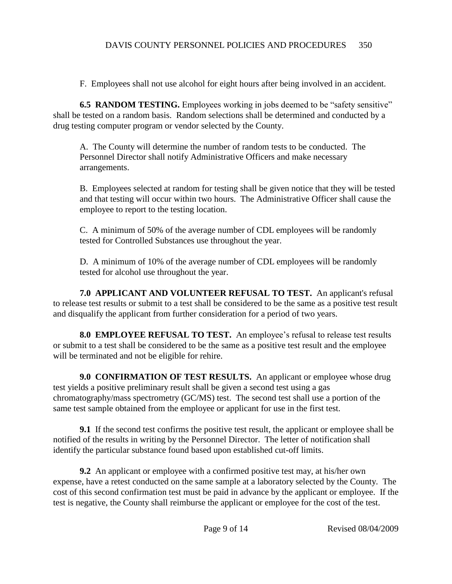F. Employees shall not use alcohol for eight hours after being involved in an accident.

**6.5 RANDOM TESTING.** Employees working in jobs deemed to be "safety sensitive" shall be tested on a random basis. Random selections shall be determined and conducted by a drug testing computer program or vendor selected by the County.

A. The County will determine the number of random tests to be conducted. The Personnel Director shall notify Administrative Officers and make necessary arrangements.

B. Employees selected at random for testing shall be given notice that they will be tested and that testing will occur within two hours. The Administrative Officer shall cause the employee to report to the testing location.

C. A minimum of 50% of the average number of CDL employees will be randomly tested for Controlled Substances use throughout the year.

D. A minimum of 10% of the average number of CDL employees will be randomly tested for alcohol use throughout the year.

**7.0 APPLICANT AND VOLUNTEER REFUSAL TO TEST.** An applicant's refusal to release test results or submit to a test shall be considered to be the same as a positive test result and disqualify the applicant from further consideration for a period of two years.

**8.0 EMPLOYEE REFUSAL TO TEST.** An employee's refusal to release test results or submit to a test shall be considered to be the same as a positive test result and the employee will be terminated and not be eligible for rehire.

**9.0 CONFIRMATION OF TEST RESULTS.** An applicant or employee whose drug test yields a positive preliminary result shall be given a second test using a gas chromatography/mass spectrometry (GC/MS) test. The second test shall use a portion of the same test sample obtained from the employee or applicant for use in the first test.

**9.1** If the second test confirms the positive test result, the applicant or employee shall be notified of the results in writing by the Personnel Director. The letter of notification shall identify the particular substance found based upon established cut-off limits.

**9.2** An applicant or employee with a confirmed positive test may, at his/her own expense, have a retest conducted on the same sample at a laboratory selected by the County. The cost of this second confirmation test must be paid in advance by the applicant or employee. If the test is negative, the County shall reimburse the applicant or employee for the cost of the test.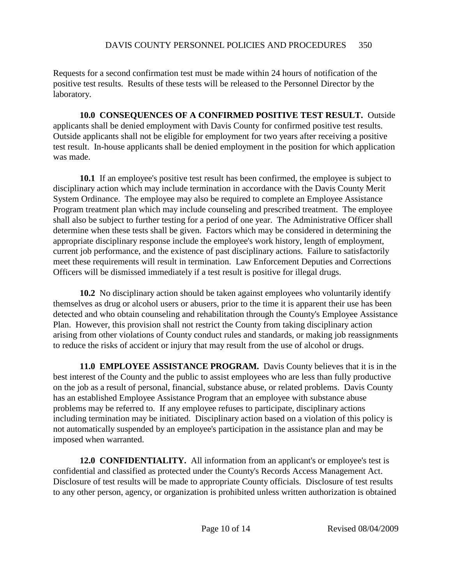Requests for a second confirmation test must be made within 24 hours of notification of the positive test results. Results of these tests will be released to the Personnel Director by the laboratory.

**10.0 CONSEQUENCES OF A CONFIRMED POSITIVE TEST RESULT.** Outside applicants shall be denied employment with Davis County for confirmed positive test results. Outside applicants shall not be eligible for employment for two years after receiving a positive test result. In-house applicants shall be denied employment in the position for which application was made.

**10.1** If an employee's positive test result has been confirmed, the employee is subject to disciplinary action which may include termination in accordance with the Davis County Merit System Ordinance. The employee may also be required to complete an Employee Assistance Program treatment plan which may include counseling and prescribed treatment. The employee shall also be subject to further testing for a period of one year. The Administrative Officer shall determine when these tests shall be given. Factors which may be considered in determining the appropriate disciplinary response include the employee's work history, length of employment, current job performance, and the existence of past disciplinary actions. Failure to satisfactorily meet these requirements will result in termination. Law Enforcement Deputies and Corrections Officers will be dismissed immediately if a test result is positive for illegal drugs.

**10.2** No disciplinary action should be taken against employees who voluntarily identify themselves as drug or alcohol users or abusers, prior to the time it is apparent their use has been detected and who obtain counseling and rehabilitation through the County's Employee Assistance Plan. However, this provision shall not restrict the County from taking disciplinary action arising from other violations of County conduct rules and standards, or making job reassignments to reduce the risks of accident or injury that may result from the use of alcohol or drugs.

**11.0 EMPLOYEE ASSISTANCE PROGRAM.** Davis County believes that it is in the best interest of the County and the public to assist employees who are less than fully productive on the job as a result of personal, financial, substance abuse, or related problems. Davis County has an established Employee Assistance Program that an employee with substance abuse problems may be referred to. If any employee refuses to participate, disciplinary actions including termination may be initiated. Disciplinary action based on a violation of this policy is not automatically suspended by an employee's participation in the assistance plan and may be imposed when warranted.

**12.0 CONFIDENTIALITY.** All information from an applicant's or employee's test is confidential and classified as protected under the County's Records Access Management Act. Disclosure of test results will be made to appropriate County officials. Disclosure of test results to any other person, agency, or organization is prohibited unless written authorization is obtained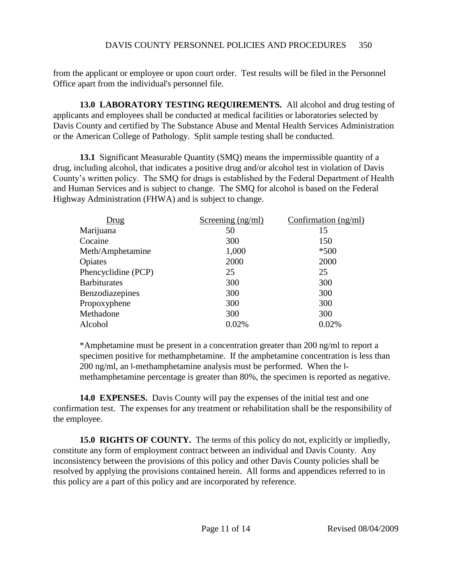from the applicant or employee or upon court order. Test results will be filed in the Personnel Office apart from the individual's personnel file.

**13.0 LABORATORY TESTING REQUIREMENTS.** All alcohol and drug testing of applicants and employees shall be conducted at medical facilities or laboratories selected by Davis County and certified by The Substance Abuse and Mental Health Services Administration or the American College of Pathology. Split sample testing shall be conducted.

**13.1** Significant Measurable Quantity (SMQ) means the impermissible quantity of a drug, including alcohol, that indicates a positive drug and/or alcohol test in violation of Davis County's written policy. The SMQ for drugs is established by the Federal Department of Health and Human Services and is subject to change. The SMQ for alcohol is based on the Federal Highway Administration (FHWA) and is subject to change.

| Drug                | Screening (ng/ml) | Confirmation $(ng/ml)$ |
|---------------------|-------------------|------------------------|
| Marijuana           | 50                | 15                     |
| Cocaine             | 300               | 150                    |
| Meth/Amphetamine    | 1,000             | $*500$                 |
| Opiates             | 2000              | 2000                   |
| Phencyclidine (PCP) | 25                | 25                     |
| <b>Barbiturates</b> | 300               | 300                    |
| Benzodiazepines     | 300               | 300                    |
| Propoxyphene        | 300               | 300                    |
| Methadone           | 300               | 300                    |
| Alcohol             | 0.02%             | 0.02%                  |

\*Amphetamine must be present in a concentration greater than 200 ng/ml to report a specimen positive for methamphetamine. If the amphetamine concentration is less than 200 ng/ml, an l-methamphetamine analysis must be performed. When the lmethamphetamine percentage is greater than 80%, the specimen is reported as negative.

**14.0 EXPENSES.** Davis County will pay the expenses of the initial test and one confirmation test. The expenses for any treatment or rehabilitation shall be the responsibility of the employee.

**15.0 RIGHTS OF COUNTY.** The terms of this policy do not, explicitly or impliedly, constitute any form of employment contract between an individual and Davis County. Any inconsistency between the provisions of this policy and other Davis County policies shall be resolved by applying the provisions contained herein. All forms and appendices referred to in this policy are a part of this policy and are incorporated by reference.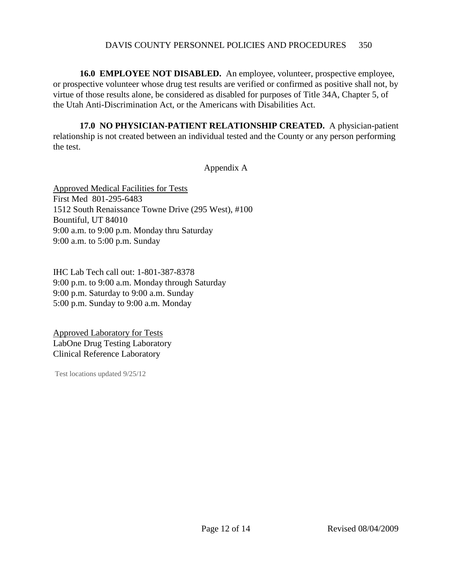**16.0 EMPLOYEE NOT DISABLED.** An employee, volunteer, prospective employee, or prospective volunteer whose drug test results are verified or confirmed as positive shall not, by virtue of those results alone, be considered as disabled for purposes of Title 34A, Chapter 5, of the Utah Anti-Discrimination Act, or the Americans with Disabilities Act.

**17.0 NO PHYSICIAN-PATIENT RELATIONSHIP CREATED.** A physician-patient relationship is not created between an individual tested and the County or any person performing the test.

## Appendix A

Approved Medical Facilities for Tests First Med 801-295-6483 1512 South Renaissance Towne Drive (295 West), #100 Bountiful, UT 84010 9:00 a.m. to 9:00 p.m. Monday thru Saturday 9:00 a.m. to 5:00 p.m. Sunday

IHC Lab Tech call out: 1-801-387-8378 9:00 p.m. to 9:00 a.m. Monday through Saturday 9:00 p.m. Saturday to 9:00 a.m. Sunday 5:00 p.m. Sunday to 9:00 a.m. Monday

Approved Laboratory for Tests LabOne Drug Testing Laboratory Clinical Reference Laboratory

Test locations updated 9/25/12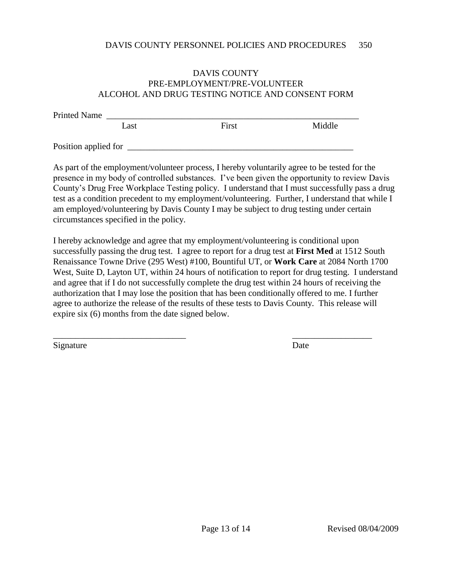## DAVIS COUNTY PRE-EMPLOYMENT/PRE-VOLUNTEER ALCOHOL AND DRUG TESTING NOTICE AND CONSENT FORM

| <b>Printed Name</b>  |      |       |        |
|----------------------|------|-------|--------|
|                      | Last | First | Middle |
| Position applied for |      |       |        |

As part of the employment/volunteer process, I hereby voluntarily agree to be tested for the presence in my body of controlled substances. I've been given the opportunity to review Davis County's Drug Free Workplace Testing policy. I understand that I must successfully pass a drug test as a condition precedent to my employment/volunteering. Further, I understand that while I am employed/volunteering by Davis County I may be subject to drug testing under certain circumstances specified in the policy.

I hereby acknowledge and agree that my employment/volunteering is conditional upon successfully passing the drug test. I agree to report for a drug test at **First Med** at 1512 South Renaissance Towne Drive (295 West) #100, Bountiful UT, or **Work Care** at 2084 North 1700 West, Suite D, Layton UT, within 24 hours of notification to report for drug testing. I understand and agree that if I do not successfully complete the drug test within 24 hours of receiving the authorization that I may lose the position that has been conditionally offered to me. I further agree to authorize the release of the results of these tests to Davis County. This release will expire six (6) months from the date signed below.

\_\_\_\_\_\_\_\_\_\_\_\_\_\_\_\_\_\_\_\_\_\_\_\_\_\_\_\_\_\_ \_\_\_\_\_\_\_\_\_\_\_\_\_\_\_\_\_\_

Signature Date